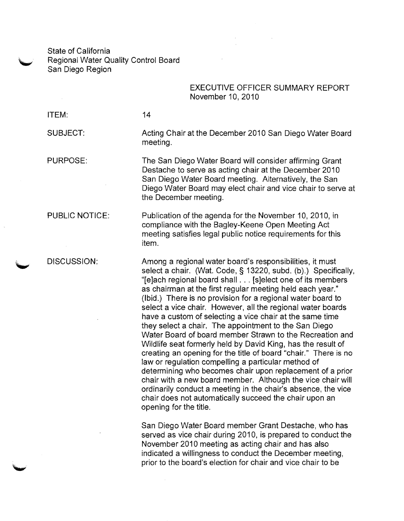State of California Regional Water Quality Control Board San Diego Region

## EXECUTIVE OFFICER SUMMARY REPORT November 10, 2010

ITEM:

14

SUBJECT:

PURPOSE:

PUBLIC NOTICE:

DISCUSSION:

Acting Chair at the December 2010 San Diego Water Board meeting.

The San Diego Water Board will consider affirming Grant Destache to serve as acting chair at the December 2010 San Diego Water Board meeting. Alternatively, the San Diego Water Board may elect chair and vice chair to serve at the December meeting.

Publication of the agenda for the November 10, 2010, in compliance with the Bagley-Keene Open Meeting Act meeting satisfies legal public notice requirements for this item.

Among a regional water board's responsibilities, it must select a chair. (Wat. Code, § 13220, subd. (b).) Specifically, "[e]ach regional board shall . . . [s]elect one of its members as chairman at the first regular meeting held each year." (Ibid.) There is no provision for a regional water board to select a vice chair. However, all the regional water boards have a custom of selecting a vice chair at the same time they select a chair. The appointment to the San Diego Water Board of board member Strawn to the Recreation and Wildlife seat formerly held by David King, has the result of creating an opening for the title of board "chair." There is no law or regulation compelling a particular method of determining who becomes chair upon replacement of a prior chair with a new board member. Although the vice chair will ordinarily conduct a meeting in the chair's absence, the vice chair does not automatically succeed the chair upon an opening for the title.

San Diego Water Board member Grant Destache, who has served as vice chair during 2010, is prepared to conduct the November 2010 meeting as acting chair and has also indicated a willingness to conduct the December meeting, prior to the board's election for chair and vice chair to be